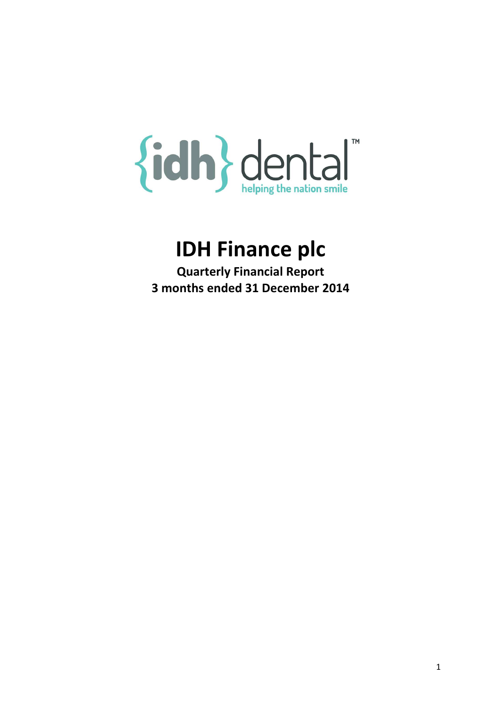# {idh} dental™

# IDH Finance plc

Quarterly Financial Report 3 months ended 31 December 2014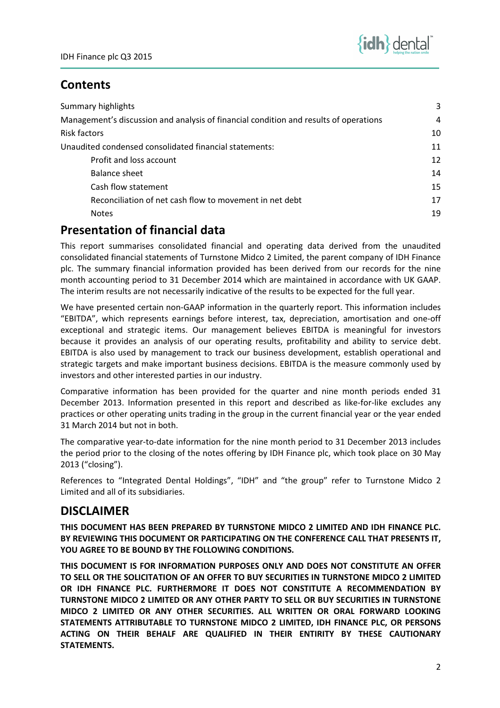# **Contents**

| Summary highlights                                                                    | 3  |
|---------------------------------------------------------------------------------------|----|
| Management's discussion and analysis of financial condition and results of operations | 4  |
| <b>Risk factors</b>                                                                   | 10 |
| Unaudited condensed consolidated financial statements:                                | 11 |
| Profit and loss account                                                               | 12 |
| Balance sheet                                                                         | 14 |
| Cash flow statement                                                                   | 15 |
| Reconciliation of net cash flow to movement in net debt                               | 17 |
| <b>Notes</b>                                                                          | 19 |

# Presentation of financial data

This report summarises consolidated financial and operating data derived from the unaudited consolidated financial statements of Turnstone Midco 2 Limited, the parent company of IDH Finance plc. The summary financial information provided has been derived from our records for the nine month accounting period to 31 December 2014 which are maintained in accordance with UK GAAP. The interim results are not necessarily indicative of the results to be expected for the full year.

We have presented certain non-GAAP information in the quarterly report. This information includes "EBITDA", which represents earnings before interest, tax, depreciation, amortisation and one-off exceptional and strategic items. Our management believes EBITDA is meaningful for investors because it provides an analysis of our operating results, profitability and ability to service debt. EBITDA is also used by management to track our business development, establish operational and strategic targets and make important business decisions. EBITDA is the measure commonly used by investors and other interested parties in our industry.

Comparative information has been provided for the quarter and nine month periods ended 31 December 2013. Information presented in this report and described as like-for-like excludes any practices or other operating units trading in the group in the current financial year or the year ended 31 March 2014 but not in both.

The comparative year-to-date information for the nine month period to 31 December 2013 includes the period prior to the closing of the notes offering by IDH Finance plc, which took place on 30 May 2013 ("closing").

References to "Integrated Dental Holdings", "IDH" and "the group" refer to Turnstone Midco 2 Limited and all of its subsidiaries.

## DISCLAIMER

THIS DOCUMENT HAS BEEN PREPARED BY TURNSTONE MIDCO 2 LIMITED AND IDH FINANCE PLC. BY REVIEWING THIS DOCUMENT OR PARTICIPATING ON THE CONFERENCE CALL THAT PRESENTS IT, YOU AGREE TO BE BOUND BY THE FOLLOWING CONDITIONS.

THIS DOCUMENT IS FOR INFORMATION PURPOSES ONLY AND DOES NOT CONSTITUTE AN OFFER TO SELL OR THE SOLICITATION OF AN OFFER TO BUY SECURITIES IN TURNSTONE MIDCO 2 LIMITED OR IDH FINANCE PLC. FURTHERMORE IT DOES NOT CONSTITUTE A RECOMMENDATION BY TURNSTONE MIDCO 2 LIMITED OR ANY OTHER PARTY TO SELL OR BUY SECURITIES IN TURNSTONE MIDCO 2 LIMITED OR ANY OTHER SECURITIES. ALL WRITTEN OR ORAL FORWARD LOOKING STATEMENTS ATTRIBUTABLE TO TURNSTONE MIDCO 2 LIMITED, IDH FINANCE PLC, OR PERSONS ACTING ON THEIR BEHALF ARE QUALIFIED IN THEIR ENTIRITY BY THESE CAUTIONARY STATEMENTS.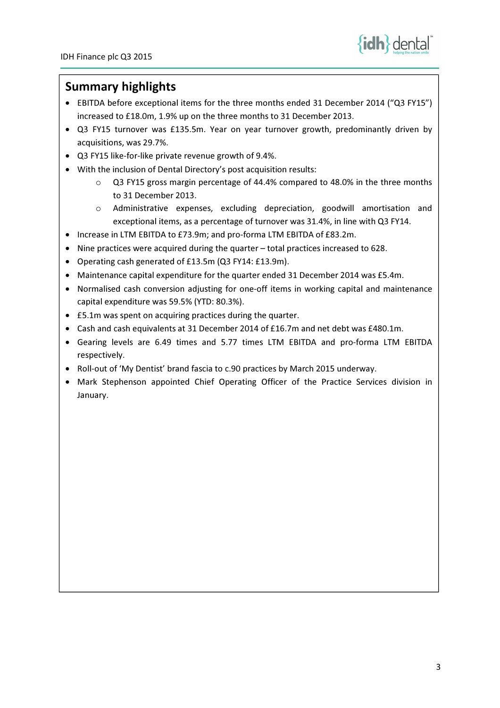

## Summary highlights

- EBITDA before exceptional items for the three months ended 31 December 2014 ("Q3 FY15") increased to £18.0m, 1.9% up on the three months to 31 December 2013.
- Q3 FY15 turnover was £135.5m. Year on year turnover growth, predominantly driven by acquisitions, was 29.7%.
- Q3 FY15 like-for-like private revenue growth of 9.4%.
- With the inclusion of Dental Directory's post acquisition results:
	- o Q3 FY15 gross margin percentage of 44.4% compared to 48.0% in the three months to 31 December 2013.
	- o Administrative expenses, excluding depreciation, goodwill amortisation and exceptional items, as a percentage of turnover was 31.4%, in line with Q3 FY14.
- Increase in LTM EBITDA to £73.9m; and pro-forma LTM EBITDA of £83.2m.
- Nine practices were acquired during the quarter total practices increased to 628.
- Operating cash generated of £13.5m (Q3 FY14: £13.9m).
- Maintenance capital expenditure for the quarter ended 31 December 2014 was £5.4m.
- Normalised cash conversion adjusting for one-off items in working capital and maintenance capital expenditure was 59.5% (YTD: 80.3%).
- £5.1m was spent on acquiring practices during the quarter.
- Cash and cash equivalents at 31 December 2014 of £16.7m and net debt was £480.1m.
- Gearing levels are 6.49 times and 5.77 times LTM EBITDA and pro-forma LTM EBITDA respectively.
- Roll-out of 'My Dentist' brand fascia to c.90 practices by March 2015 underway.
- Mark Stephenson appointed Chief Operating Officer of the Practice Services division in January.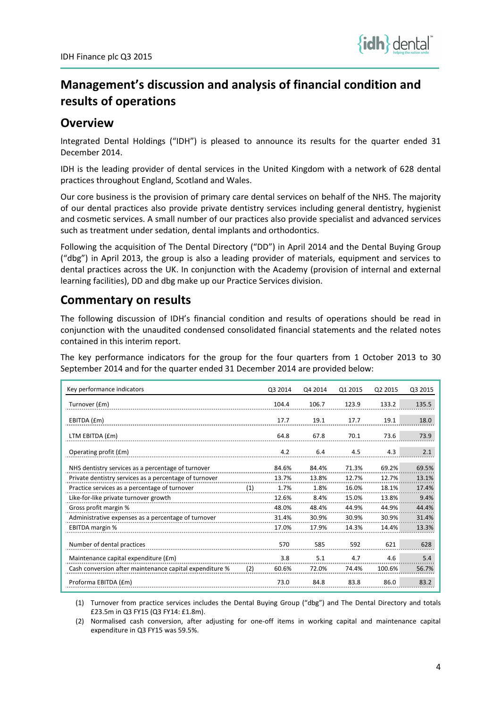

# Management's discussion and analysis of financial condition and results of operations

## **Overview**

Integrated Dental Holdings ("IDH") is pleased to announce its results for the quarter ended 31 December 2014.

IDH is the leading provider of dental services in the United Kingdom with a network of 628 dental practices throughout England, Scotland and Wales.

Our core business is the provision of primary care dental services on behalf of the NHS. The majority of our dental practices also provide private dentistry services including general dentistry, hygienist and cosmetic services. A small number of our practices also provide specialist and advanced services such as treatment under sedation, dental implants and orthodontics.

Following the acquisition of The Dental Directory ("DD") in April 2014 and the Dental Buying Group ("dbg") in April 2013, the group is also a leading provider of materials, equipment and services to dental practices across the UK. In conjunction with the Academy (provision of internal and external learning facilities), DD and dbg make up our Practice Services division.

# Commentary on results

The following discussion of IDH's financial condition and results of operations should be read in conjunction with the unaudited condensed consolidated financial statements and the related notes contained in this interim report.

The key performance indicators for the group for the four quarters from 1 October 2013 to 30 September 2014 and for the quarter ended 31 December 2014 are provided below:

| Key performance indicators                              |     | Q3 2014 | Q4 2014 | Q1 2015 | Q2 2015 | Q3 2015 |
|---------------------------------------------------------|-----|---------|---------|---------|---------|---------|
| Turnover (£m)                                           |     | 104.4   | 106.7   | 123.9   | 133.2   | 135.5   |
| EBITDA (£m)                                             |     | 17.7    | 19.1    | 17.7    | 19.1    | 18.0    |
| LTM EBITDA (£m)                                         |     | 64.8    | 67.8    | 70.1    | 73.6    | 73.9    |
| Operating profit (£m)                                   |     | 4.2     | 6.4     | 4.5     | 4.3     | 2.1     |
| NHS dentistry services as a percentage of turnover      |     | 84.6%   | 84.4%   | 71.3%   | 69.2%   | 69.5%   |
| Private dentistry services as a percentage of turnover  |     | 13.7%   | 13.8%   | 12.7%   | 12.7%   | 13.1%   |
| Practice services as a percentage of turnover           | (1) | 1.7%    | 1.8%    | 16.0%   | 18.1%   | 17.4%   |
| Like-for-like private turnover growth                   |     | 12.6%   | 8.4%    | 15.0%   | 13.8%   | 9.4%    |
| Gross profit margin %                                   |     | 48.0%   | 48.4%   | 44.9%   | 44.9%   | 44.4%   |
| Administrative expenses as a percentage of turnover     |     | 31.4%   | 30.9%   | 30.9%   | 30.9%   | 31.4%   |
| <b>EBITDA</b> margin %                                  |     | 17.0%   | 17.9%   | 14.3%   | 14.4%   | 13.3%   |
| Number of dental practices                              |     | 570     | 585     | 592     | 621     | 628     |
| Maintenance capital expenditure (£m)                    |     | 3.8     | 5.1     | 4.7     | 4.6     | 5.4     |
| Cash conversion after maintenance capital expenditure % | (2) | 60.6%   | 72.0%   | 74.4%   | 100.6%  | 56.7%   |
| Proforma EBITDA (£m)                                    |     | 73.0    | 84.8    | 83.8    | 86.0    | 83.2    |

(1) Turnover from practice services includes the Dental Buying Group ("dbg") and The Dental Directory and totals £23.5m in Q3 FY15 (Q3 FY14: £1.8m).

(2) Normalised cash conversion, after adjusting for one-off items in working capital and maintenance capital expenditure in Q3 FY15 was 59.5%.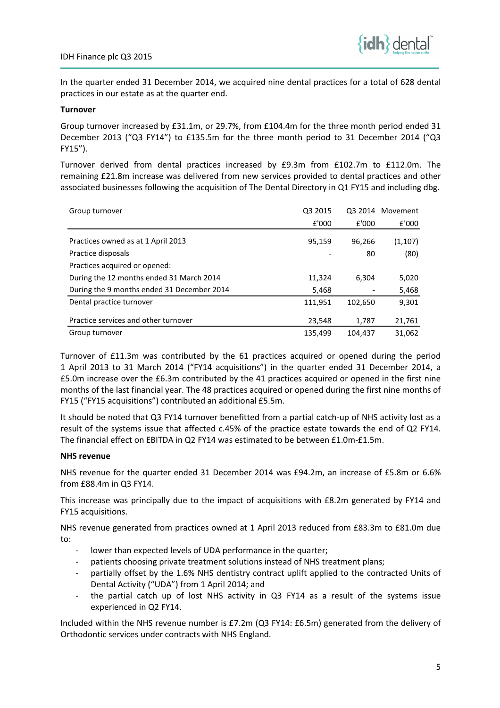

In the quarter ended 31 December 2014, we acquired nine dental practices for a total of 628 dental practices in our estate as at the quarter end.

## Turnover

Group turnover increased by £31.1m, or 29.7%, from £104.4m for the three month period ended 31 December 2013 ("Q3 FY14") to £135.5m for the three month period to 31 December 2014 ("Q3 FY15").

Turnover derived from dental practices increased by £9.3m from £102.7m to £112.0m. The remaining £21.8m increase was delivered from new services provided to dental practices and other associated businesses following the acquisition of The Dental Directory in Q1 FY15 and including dbg.

| Group turnover                             | Q3 2015 |         | Q3 2014 Movement |
|--------------------------------------------|---------|---------|------------------|
|                                            | £'000   | £'000   | £'000            |
| Practices owned as at 1 April 2013         | 95,159  | 96,266  | (1, 107)         |
| Practice disposals                         |         | 80      | (80)             |
| Practices acquired or opened:              |         |         |                  |
| During the 12 months ended 31 March 2014   | 11,324  | 6.304   | 5,020            |
| During the 9 months ended 31 December 2014 | 5,468   |         | 5,468            |
| Dental practice turnover                   | 111,951 | 102,650 | 9,301            |
| Practice services and other turnover       | 23,548  | 1,787   | 21,761           |
| Group turnover                             | 135,499 | 104.437 | 31.062           |

Turnover of £11.3m was contributed by the 61 practices acquired or opened during the period 1 April 2013 to 31 March 2014 ("FY14 acquisitions") in the quarter ended 31 December 2014, a £5.0m increase over the £6.3m contributed by the 41 practices acquired or opened in the first nine months of the last financial year. The 48 practices acquired or opened during the first nine months of FY15 ("FY15 acquisitions") contributed an additional £5.5m.

It should be noted that Q3 FY14 turnover benefitted from a partial catch-up of NHS activity lost as a result of the systems issue that affected c.45% of the practice estate towards the end of Q2 FY14. The financial effect on EBITDA in Q2 FY14 was estimated to be between £1.0m-£1.5m.

## NHS revenue

NHS revenue for the quarter ended 31 December 2014 was £94.2m, an increase of £5.8m or 6.6% from £88.4m in Q3 FY14.

This increase was principally due to the impact of acquisitions with £8.2m generated by FY14 and FY15 acquisitions.

NHS revenue generated from practices owned at 1 April 2013 reduced from £83.3m to £81.0m due to:

- lower than expected levels of UDA performance in the quarter;
- patients choosing private treatment solutions instead of NHS treatment plans;
- partially offset by the 1.6% NHS dentistry contract uplift applied to the contracted Units of Dental Activity ("UDA") from 1 April 2014; and
- the partial catch up of lost NHS activity in Q3 FY14 as a result of the systems issue experienced in Q2 FY14.

Included within the NHS revenue number is £7.2m (Q3 FY14: £6.5m) generated from the delivery of Orthodontic services under contracts with NHS England.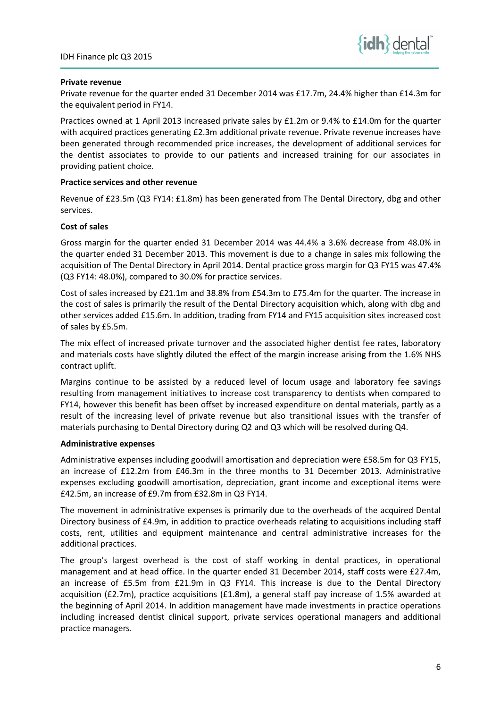

## Private revenue

Private revenue for the quarter ended 31 December 2014 was £17.7m, 24.4% higher than £14.3m for the equivalent period in FY14.

Practices owned at 1 April 2013 increased private sales by £1.2m or 9.4% to £14.0m for the quarter with acquired practices generating £2.3m additional private revenue. Private revenue increases have been generated through recommended price increases, the development of additional services for the dentist associates to provide to our patients and increased training for our associates in providing patient choice.

## Practice services and other revenue

Revenue of £23.5m (Q3 FY14: £1.8m) has been generated from The Dental Directory, dbg and other services.

## Cost of sales

Gross margin for the quarter ended 31 December 2014 was 44.4% a 3.6% decrease from 48.0% in the quarter ended 31 December 2013. This movement is due to a change in sales mix following the acquisition of The Dental Directory in April 2014. Dental practice gross margin for Q3 FY15 was 47.4% (Q3 FY14: 48.0%), compared to 30.0% for practice services.

Cost of sales increased by £21.1m and 38.8% from £54.3m to £75.4m for the quarter. The increase in the cost of sales is primarily the result of the Dental Directory acquisition which, along with dbg and other services added £15.6m. In addition, trading from FY14 and FY15 acquisition sites increased cost of sales by £5.5m.

The mix effect of increased private turnover and the associated higher dentist fee rates, laboratory and materials costs have slightly diluted the effect of the margin increase arising from the 1.6% NHS contract uplift.

Margins continue to be assisted by a reduced level of locum usage and laboratory fee savings resulting from management initiatives to increase cost transparency to dentists when compared to FY14, however this benefit has been offset by increased expenditure on dental materials, partly as a result of the increasing level of private revenue but also transitional issues with the transfer of materials purchasing to Dental Directory during Q2 and Q3 which will be resolved during Q4.

## Administrative expenses

Administrative expenses including goodwill amortisation and depreciation were £58.5m for Q3 FY15, an increase of £12.2m from £46.3m in the three months to 31 December 2013. Administrative expenses excluding goodwill amortisation, depreciation, grant income and exceptional items were £42.5m, an increase of £9.7m from £32.8m in Q3 FY14.

The movement in administrative expenses is primarily due to the overheads of the acquired Dental Directory business of £4.9m, in addition to practice overheads relating to acquisitions including staff costs, rent, utilities and equipment maintenance and central administrative increases for the additional practices.

The group's largest overhead is the cost of staff working in dental practices, in operational management and at head office. In the quarter ended 31 December 2014, staff costs were £27.4m, an increase of £5.5m from £21.9m in Q3 FY14. This increase is due to the Dental Directory acquisition (£2.7m), practice acquisitions (£1.8m), a general staff pay increase of 1.5% awarded at the beginning of April 2014. In addition management have made investments in practice operations including increased dentist clinical support, private services operational managers and additional practice managers.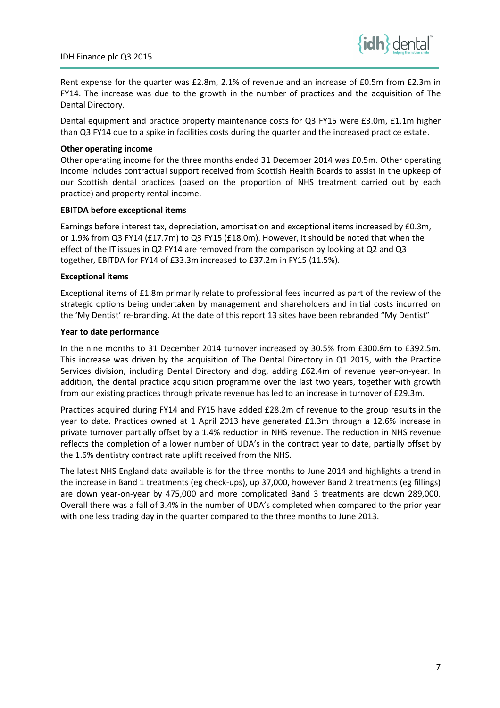

Rent expense for the quarter was £2.8m, 2.1% of revenue and an increase of £0.5m from £2.3m in FY14. The increase was due to the growth in the number of practices and the acquisition of The Dental Directory.

Dental equipment and practice property maintenance costs for Q3 FY15 were £3.0m, £1.1m higher than Q3 FY14 due to a spike in facilities costs during the quarter and the increased practice estate.

## Other operating income

Other operating income for the three months ended 31 December 2014 was £0.5m. Other operating income includes contractual support received from Scottish Health Boards to assist in the upkeep of our Scottish dental practices (based on the proportion of NHS treatment carried out by each practice) and property rental income.

## EBITDA before exceptional items

Earnings before interest tax, depreciation, amortisation and exceptional items increased by £0.3m, or 1.9% from Q3 FY14 (£17.7m) to Q3 FY15 (£18.0m). However, it should be noted that when the effect of the IT issues in Q2 FY14 are removed from the comparison by looking at Q2 and Q3 together, EBITDA for FY14 of £33.3m increased to £37.2m in FY15 (11.5%).

## Exceptional items

Exceptional items of £1.8m primarily relate to professional fees incurred as part of the review of the strategic options being undertaken by management and shareholders and initial costs incurred on the 'My Dentist' re-branding. At the date of this report 13 sites have been rebranded "My Dentist"

## Year to date performance

In the nine months to 31 December 2014 turnover increased by 30.5% from £300.8m to £392.5m. This increase was driven by the acquisition of The Dental Directory in Q1 2015, with the Practice Services division, including Dental Directory and dbg, adding £62.4m of revenue year-on-year. In addition, the dental practice acquisition programme over the last two years, together with growth from our existing practices through private revenue has led to an increase in turnover of £29.3m.

Practices acquired during FY14 and FY15 have added £28.2m of revenue to the group results in the year to date. Practices owned at 1 April 2013 have generated £1.3m through a 12.6% increase in private turnover partially offset by a 1.4% reduction in NHS revenue. The reduction in NHS revenue reflects the completion of a lower number of UDA's in the contract year to date, partially offset by the 1.6% dentistry contract rate uplift received from the NHS.

The latest NHS England data available is for the three months to June 2014 and highlights a trend in the increase in Band 1 treatments (eg check-ups), up 37,000, however Band 2 treatments (eg fillings) are down year-on-year by 475,000 and more complicated Band 3 treatments are down 289,000. Overall there was a fall of 3.4% in the number of UDA's completed when compared to the prior year with one less trading day in the quarter compared to the three months to June 2013.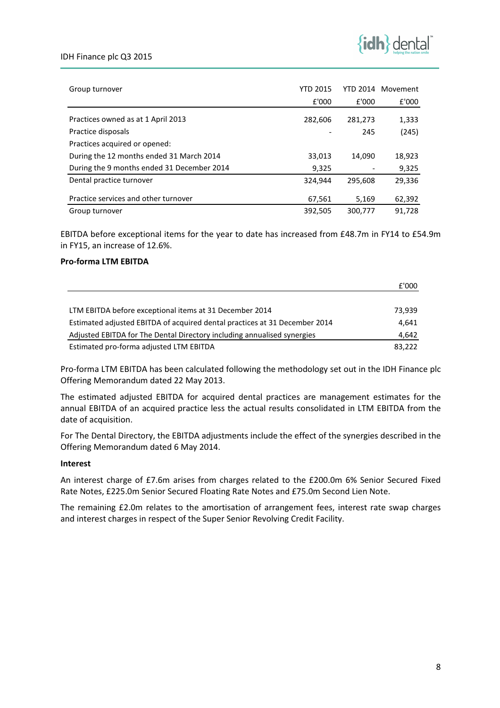## IDH Finance plc Q3 2015



| Group turnover                             | <b>YTD 2015</b> |         | YTD 2014 Movement |
|--------------------------------------------|-----------------|---------|-------------------|
|                                            | £'000           | £'000   | £'000             |
| Practices owned as at 1 April 2013         | 282,606         | 281,273 | 1,333             |
| Practice disposals                         |                 | 245     | (245)             |
| Practices acquired or opened:              |                 |         |                   |
| During the 12 months ended 31 March 2014   | 33,013          | 14,090  | 18,923            |
| During the 9 months ended 31 December 2014 | 9,325           |         | 9,325             |
| Dental practice turnover                   | 324.944         | 295.608 | 29,336            |
| Practice services and other turnover       | 67,561          | 5,169   | 62,392            |
| Group turnover                             | 392,505         | 300,777 | 91.728            |

EBITDA before exceptional items for the year to date has increased from £48.7m in FY14 to £54.9m in FY15, an increase of 12.6%.

## Pro-forma LTM EBITDA

|                                                                            | £'000  |
|----------------------------------------------------------------------------|--------|
|                                                                            |        |
| LTM EBITDA before exceptional items at 31 December 2014                    | 73.939 |
| Estimated adjusted EBITDA of acquired dental practices at 31 December 2014 | 4.641  |
| Adjusted EBITDA for The Dental Directory including annualised synergies    | 4,642  |
| Estimated pro-forma adjusted LTM EBITDA                                    | 83.222 |

Pro-forma LTM EBITDA has been calculated following the methodology set out in the IDH Finance plc Offering Memorandum dated 22 May 2013.

The estimated adjusted EBITDA for acquired dental practices are management estimates for the annual EBITDA of an acquired practice less the actual results consolidated in LTM EBITDA from the date of acquisition.

For The Dental Directory, the EBITDA adjustments include the effect of the synergies described in the Offering Memorandum dated 6 May 2014.

## Interest

An interest charge of £7.6m arises from charges related to the £200.0m 6% Senior Secured Fixed Rate Notes, £225.0m Senior Secured Floating Rate Notes and £75.0m Second Lien Note.

The remaining £2.0m relates to the amortisation of arrangement fees, interest rate swap charges and interest charges in respect of the Super Senior Revolving Credit Facility.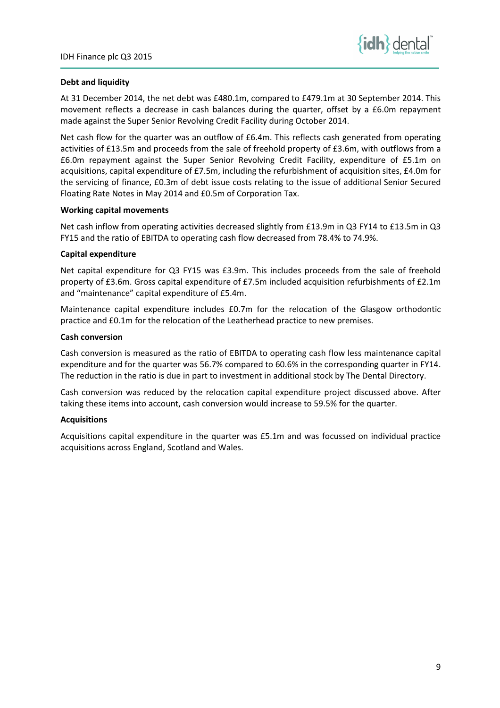

## Debt and liquidity

At 31 December 2014, the net debt was £480.1m, compared to £479.1m at 30 September 2014. This movement reflects a decrease in cash balances during the quarter, offset by a £6.0m repayment made against the Super Senior Revolving Credit Facility during October 2014.

Net cash flow for the quarter was an outflow of £6.4m. This reflects cash generated from operating activities of £13.5m and proceeds from the sale of freehold property of £3.6m, with outflows from a £6.0m repayment against the Super Senior Revolving Credit Facility, expenditure of £5.1m on acquisitions, capital expenditure of £7.5m, including the refurbishment of acquisition sites, £4.0m for the servicing of finance, £0.3m of debt issue costs relating to the issue of additional Senior Secured Floating Rate Notes in May 2014 and £0.5m of Corporation Tax.

## Working capital movements

Net cash inflow from operating activities decreased slightly from £13.9m in Q3 FY14 to £13.5m in Q3 FY15 and the ratio of EBITDA to operating cash flow decreased from 78.4% to 74.9%.

## Capital expenditure

Net capital expenditure for Q3 FY15 was £3.9m. This includes proceeds from the sale of freehold property of £3.6m. Gross capital expenditure of £7.5m included acquisition refurbishments of £2.1m and "maintenance" capital expenditure of £5.4m.

Maintenance capital expenditure includes £0.7m for the relocation of the Glasgow orthodontic practice and £0.1m for the relocation of the Leatherhead practice to new premises.

## Cash conversion

Cash conversion is measured as the ratio of EBITDA to operating cash flow less maintenance capital expenditure and for the quarter was 56.7% compared to 60.6% in the corresponding quarter in FY14. The reduction in the ratio is due in part to investment in additional stock by The Dental Directory.

Cash conversion was reduced by the relocation capital expenditure project discussed above. After taking these items into account, cash conversion would increase to 59.5% for the quarter.

## **Acquisitions**

Acquisitions capital expenditure in the quarter was £5.1m and was focussed on individual practice acquisitions across England, Scotland and Wales.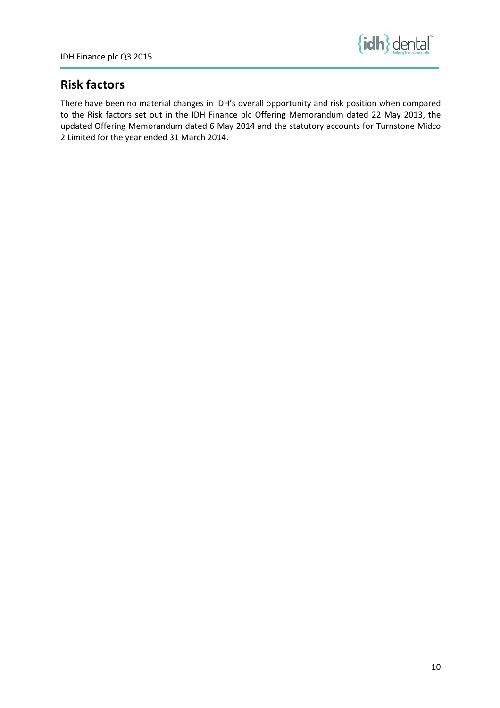

# Risk factors

There have been no material changes in IDH's overall opportunity and risk position when compared to the Risk factors set out in the IDH Finance plc Offering Memorandum dated 22 May 2013, the updated Offering Memorandum dated 6 May 2014 and the statutory accounts for Turnstone Midco 2 Limited for the year ended 31 March 2014.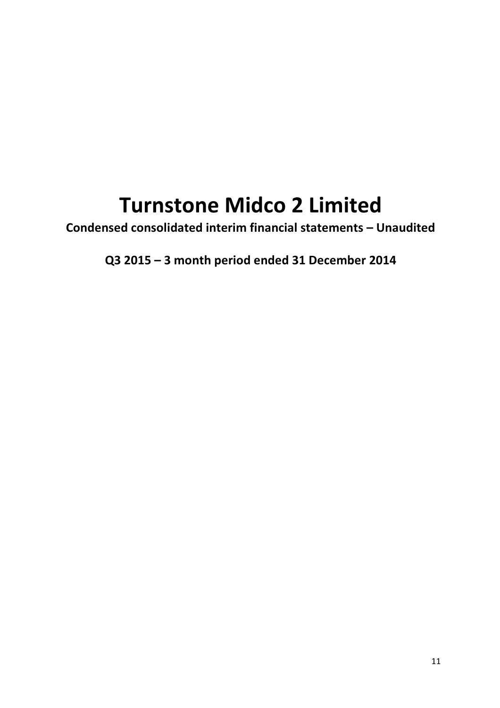# Turnstone Midco 2 Limited

Condensed consolidated interim financial statements – Unaudited

Q3 2015 – 3 month period ended 31 December 2014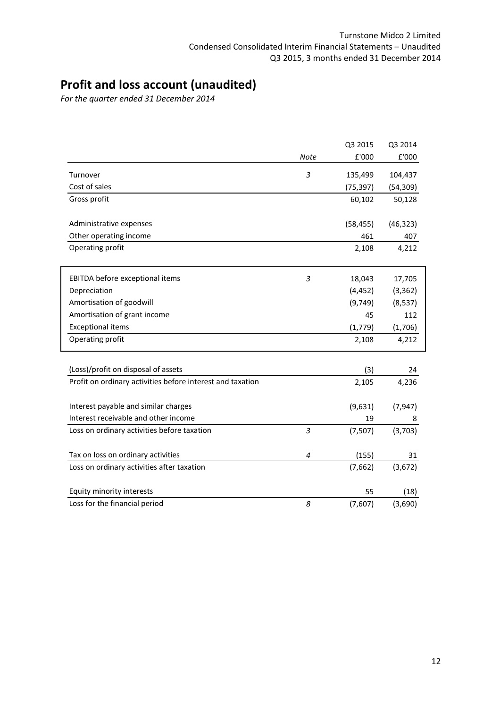# Profit and loss account (unaudited)

For the quarter ended 31 December 2014

|                                                            |                | Q3 2015   | Q3 2014   |
|------------------------------------------------------------|----------------|-----------|-----------|
|                                                            | Note           | £'000     | £'000     |
| Turnover                                                   | 3              | 135,499   | 104,437   |
| Cost of sales                                              |                | (75, 397) | (54, 309) |
| Gross profit                                               |                | 60,102    | 50,128    |
| Administrative expenses                                    |                | (58, 455) | (46, 323) |
| Other operating income                                     |                | 461       | 407       |
| Operating profit                                           |                | 2,108     | 4,212     |
| EBITDA before exceptional items                            | 3              | 18,043    | 17,705    |
| Depreciation                                               |                | (4, 452)  | (3, 362)  |
| Amortisation of goodwill                                   |                | (9,749)   | (8, 537)  |
| Amortisation of grant income                               |                | 45        | 112       |
| <b>Exceptional items</b>                                   |                | (1,779)   | (1,706)   |
| Operating profit                                           |                | 2,108     | 4,212     |
| (Loss)/profit on disposal of assets                        |                | (3)       | 24        |
| Profit on ordinary activities before interest and taxation |                | 2,105     | 4,236     |
| Interest payable and similar charges                       |                | (9,631)   | (7, 947)  |
| Interest receivable and other income                       |                | 19        | 8         |
| Loss on ordinary activities before taxation                | 3              | (7,507)   | (3,703)   |
| Tax on loss on ordinary activities                         | $\overline{4}$ | (155)     | 31        |
| Loss on ordinary activities after taxation                 |                | (7,662)   | (3,672)   |
| Equity minority interests                                  |                | 55        | (18)      |
| Loss for the financial period                              | 8              | (7,607)   | (3,690)   |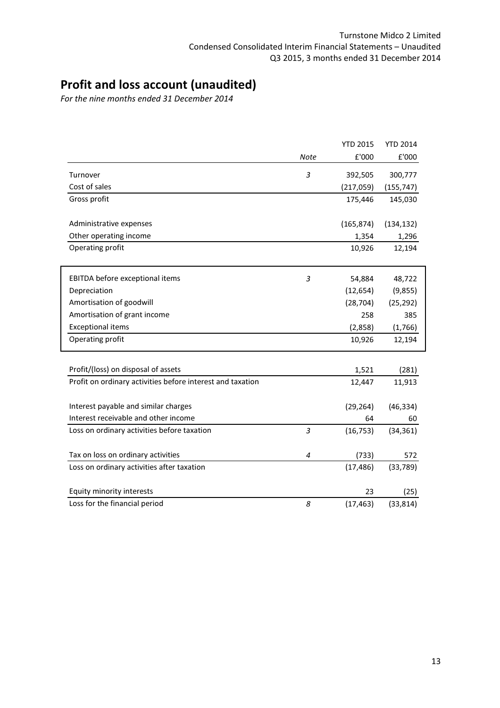# Profit and loss account (unaudited)

For the nine months ended 31 December 2014

|                                                            |                | <b>YTD 2015</b> | <b>YTD 2014</b> |
|------------------------------------------------------------|----------------|-----------------|-----------------|
|                                                            | Note           | £'000           | £'000           |
| Turnover                                                   | 3              | 392,505         | 300,777         |
| Cost of sales                                              |                | (217, 059)      | (155, 747)      |
| Gross profit                                               |                | 175,446         | 145,030         |
| Administrative expenses                                    |                | (165, 874)      | (134, 132)      |
| Other operating income                                     |                | 1,354           | 1,296           |
| Operating profit                                           |                | 10,926          | 12,194          |
| EBITDA before exceptional items                            | 3              | 54,884          | 48,722          |
| Depreciation                                               |                | (12, 654)       | (9, 855)        |
| Amortisation of goodwill                                   |                | (28, 704)       | (25, 292)       |
| Amortisation of grant income                               |                | 258             | 385             |
| <b>Exceptional items</b>                                   |                | (2,858)         | (1,766)         |
| Operating profit                                           |                | 10,926          | 12,194          |
| Profit/(loss) on disposal of assets                        |                | 1,521           |                 |
| Profit on ordinary activities before interest and taxation |                | 12,447          | (281)<br>11,913 |
| Interest payable and similar charges                       |                | (29, 264)       | (46, 334)       |
| Interest receivable and other income                       |                | 64              | 60              |
| Loss on ordinary activities before taxation                | 3              | (16, 753)       | (34, 361)       |
| Tax on loss on ordinary activities                         | $\overline{4}$ | (733)           | 572             |
| Loss on ordinary activities after taxation                 |                | (17, 486)       | (33, 789)       |
| Equity minority interests                                  |                | 23              | (25)            |
| Loss for the financial period                              | 8              | (17, 463)       | (33, 814)       |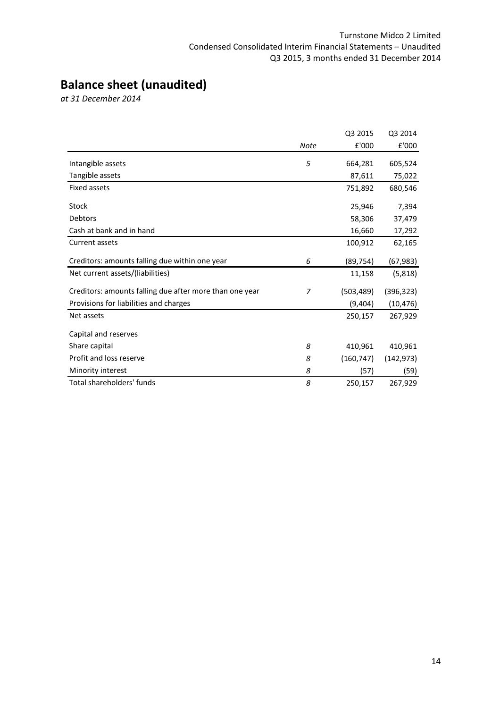# Balance sheet (unaudited)

at 31 December 2014

|                                                         |                | Q3 2015    | Q3 2014    |
|---------------------------------------------------------|----------------|------------|------------|
|                                                         | Note           | £'000      | £'000      |
| Intangible assets                                       | 5              | 664,281    | 605,524    |
| Tangible assets                                         |                | 87,611     | 75,022     |
| <b>Fixed assets</b>                                     |                | 751,892    | 680,546    |
| Stock                                                   |                | 25,946     | 7,394      |
| <b>Debtors</b>                                          |                | 58,306     | 37,479     |
| Cash at bank and in hand                                |                | 16,660     | 17,292     |
| Current assets                                          |                | 100,912    | 62,165     |
| Creditors: amounts falling due within one year          | 6              | (89, 754)  | (67, 983)  |
| Net current assets/(liabilities)                        |                | 11,158     | (5,818)    |
| Creditors: amounts falling due after more than one year | $\overline{z}$ | (503, 489) | (396, 323) |
| Provisions for liabilities and charges                  |                | (9,404)    | (10, 476)  |
| Net assets                                              |                | 250,157    | 267,929    |
| Capital and reserves                                    |                |            |            |
| Share capital                                           | 8              | 410,961    | 410,961    |
| Profit and loss reserve                                 | 8              | (160, 747) | (142, 973) |
| Minority interest                                       | 8              | (57)       | (59)       |
| Total shareholders' funds                               | 8              | 250,157    | 267,929    |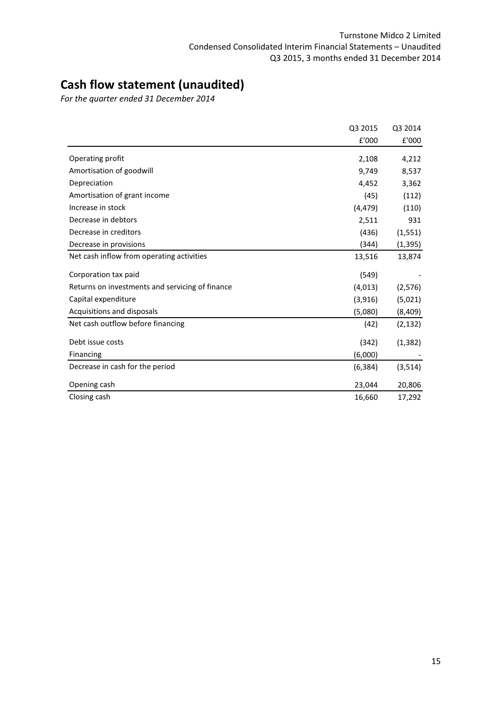# Cash flow statement (unaudited)

For the quarter ended 31 December 2014

|                                                 | Q3 2015  | Q3 2014  |
|-------------------------------------------------|----------|----------|
|                                                 | £'000    | £'000    |
| Operating profit                                | 2,108    | 4,212    |
| Amortisation of goodwill                        | 9,749    | 8,537    |
| Depreciation                                    | 4,452    | 3,362    |
| Amortisation of grant income                    | (45)     | (112)    |
| Increase in stock                               | (4, 479) | (110)    |
| Decrease in debtors                             | 2,511    | 931      |
| Decrease in creditors                           | (436)    | (1, 551) |
| Decrease in provisions                          | (344)    | (1, 395) |
| Net cash inflow from operating activities       | 13,516   | 13,874   |
| Corporation tax paid                            | (549)    |          |
| Returns on investments and servicing of finance | (4, 013) | (2, 576) |
| Capital expenditure                             | (3,916)  | (5,021)  |
| Acquisitions and disposals                      | (5,080)  | (8,409)  |
| Net cash outflow before financing               | (42)     | (2, 132) |
| Debt issue costs                                | (342)    | (1, 382) |
| Financing                                       | (6,000)  |          |
| Decrease in cash for the period                 | (6, 384) | (3, 514) |
| Opening cash                                    | 23,044   | 20,806   |
| Closing cash                                    | 16,660   | 17,292   |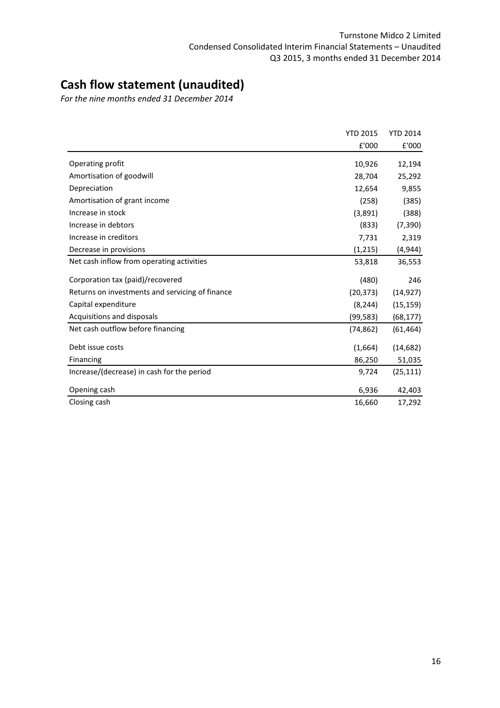# Cash flow statement (unaudited)

For the nine months ended 31 December 2014

|                                                 | <b>YTD 2015</b> | <b>YTD 2014</b> |
|-------------------------------------------------|-----------------|-----------------|
|                                                 | £'000           | £'000           |
| Operating profit                                | 10,926          | 12,194          |
| Amortisation of goodwill                        | 28,704          | 25,292          |
| Depreciation                                    | 12,654          | 9,855           |
| Amortisation of grant income                    | (258)           | (385)           |
| Increase in stock                               | (3,891)         | (388)           |
| Increase in debtors                             | (833)           | (7, 390)        |
| Increase in creditors                           | 7,731           | 2,319           |
| Decrease in provisions                          | (1, 215)        | (4,944)         |
| Net cash inflow from operating activities       | 53,818          | 36,553          |
| Corporation tax (paid)/recovered                | (480)           | 246             |
| Returns on investments and servicing of finance | (20, 373)       | (14, 927)       |
| Capital expenditure                             | (8, 244)        | (15, 159)       |
| Acquisitions and disposals                      | (99,583)        | (68, 177)       |
| Net cash outflow before financing               | (74, 862)       | (61, 464)       |
| Debt issue costs                                | (1,664)         | (14, 682)       |
| Financing                                       | 86,250          | 51,035          |
| Increase/(decrease) in cash for the period      | 9,724           | (25, 111)       |
| Opening cash                                    | 6,936           | 42,403          |
| Closing cash                                    | 16,660          | 17,292          |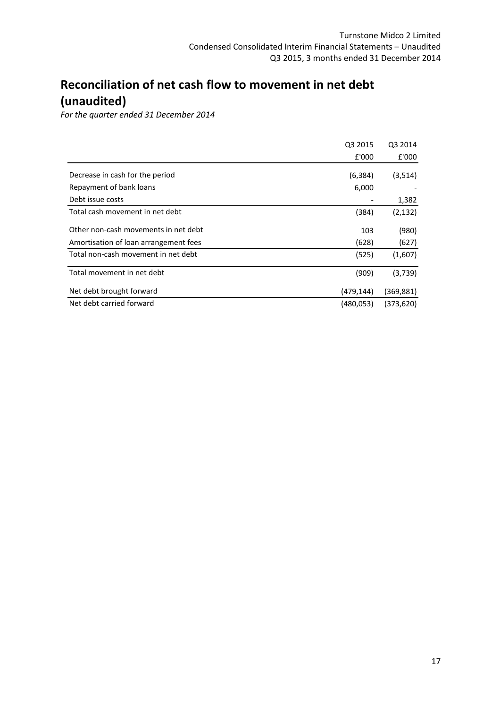# Reconciliation of net cash flow to movement in net debt (unaudited)

For the quarter ended 31 December 2014

|                                                                               | Q3 2015      | Q3 2014        |
|-------------------------------------------------------------------------------|--------------|----------------|
|                                                                               | £'000        | £'000          |
| Decrease in cash for the period                                               | (6, 384)     | (3, 514)       |
| Repayment of bank loans                                                       | 6,000        |                |
| Debt issue costs                                                              |              | 1,382          |
| Total cash movement in net debt                                               | (384)        | (2, 132)       |
| Other non-cash movements in net debt<br>Amortisation of loan arrangement fees | 103<br>(628) | (980)<br>(627) |
| Total non-cash movement in net debt                                           | (525)        | (1,607)        |
| Total movement in net debt                                                    | (909)        | (3,739)        |
| Net debt brought forward                                                      | (479, 144)   | (369,881)      |
| Net debt carried forward                                                      | (480, 053)   | (373,620)      |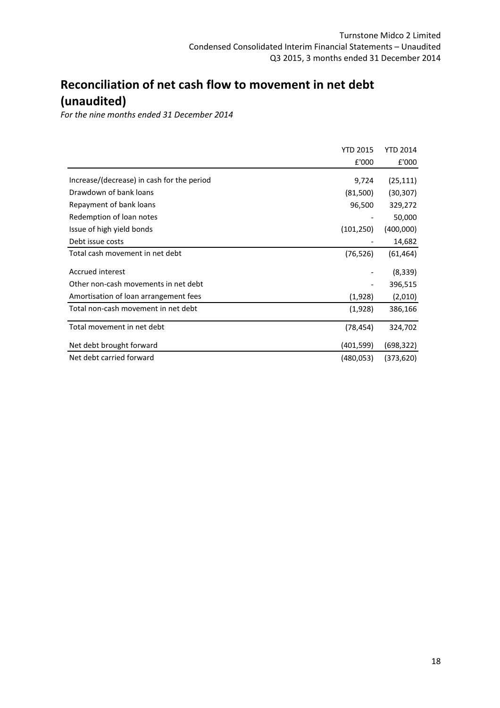# Reconciliation of net cash flow to movement in net debt (unaudited)

For the nine months ended 31 December 2014

|                                            | <b>YTD 2015</b> | <b>YTD 2014</b> |
|--------------------------------------------|-----------------|-----------------|
|                                            | £'000           | £'000           |
| Increase/(decrease) in cash for the period | 9,724           | (25, 111)       |
| Drawdown of bank loans                     | (81,500)        | (30, 307)       |
| Repayment of bank loans                    | 96,500          | 329,272         |
| Redemption of loan notes                   |                 | 50,000          |
| Issue of high yield bonds                  | (101, 250)      | (400,000)       |
| Debt issue costs                           |                 | 14,682          |
| Total cash movement in net debt            | (76, 526)       | (61,464)        |
| Accrued interest                           |                 | (8,339)         |
| Other non-cash movements in net debt       |                 | 396,515         |
| Amortisation of loan arrangement fees      | (1,928)         | (2,010)         |
| Total non-cash movement in net debt        | (1,928)         | 386,166         |
| Total movement in net debt                 | (78, 454)       | 324,702         |
| Net debt brought forward                   | (401,599)       | (698,322)       |
| Net debt carried forward                   | (480,053)       | (373,620)       |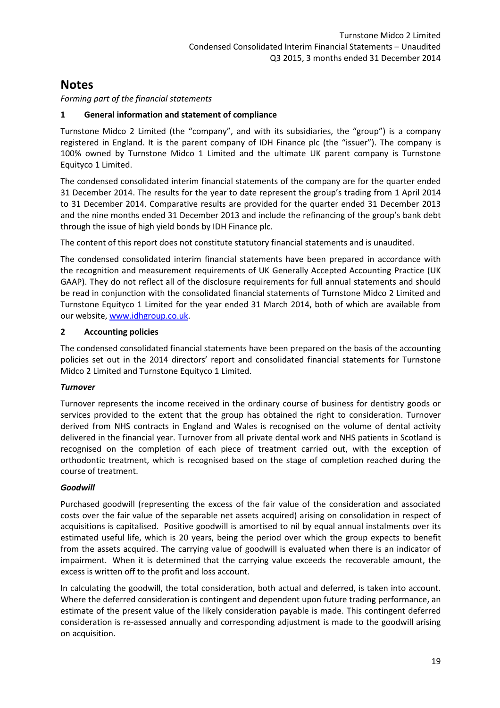Forming part of the financial statements

## 1 General information and statement of compliance

Turnstone Midco 2 Limited (the "company", and with its subsidiaries, the "group") is a company registered in England. It is the parent company of IDH Finance plc (the "issuer"). The company is 100% owned by Turnstone Midco 1 Limited and the ultimate UK parent company is Turnstone Equityco 1 Limited.

The condensed consolidated interim financial statements of the company are for the quarter ended 31 December 2014. The results for the year to date represent the group's trading from 1 April 2014 to 31 December 2014. Comparative results are provided for the quarter ended 31 December 2013 and the nine months ended 31 December 2013 and include the refinancing of the group's bank debt through the issue of high yield bonds by IDH Finance plc.

The content of this report does not constitute statutory financial statements and is unaudited.

The condensed consolidated interim financial statements have been prepared in accordance with the recognition and measurement requirements of UK Generally Accepted Accounting Practice (UK GAAP). They do not reflect all of the disclosure requirements for full annual statements and should be read in conjunction with the consolidated financial statements of Turnstone Midco 2 Limited and Turnstone Equityco 1 Limited for the year ended 31 March 2014, both of which are available from our website, www.idhgroup.co.uk.

## 2 Accounting policies

The condensed consolidated financial statements have been prepared on the basis of the accounting policies set out in the 2014 directors' report and consolidated financial statements for Turnstone Midco 2 Limited and Turnstone Equityco 1 Limited.

## Turnover

Turnover represents the income received in the ordinary course of business for dentistry goods or services provided to the extent that the group has obtained the right to consideration. Turnover derived from NHS contracts in England and Wales is recognised on the volume of dental activity delivered in the financial year. Turnover from all private dental work and NHS patients in Scotland is recognised on the completion of each piece of treatment carried out, with the exception of orthodontic treatment, which is recognised based on the stage of completion reached during the course of treatment.

## Goodwill

Purchased goodwill (representing the excess of the fair value of the consideration and associated costs over the fair value of the separable net assets acquired) arising on consolidation in respect of acquisitions is capitalised. Positive goodwill is amortised to nil by equal annual instalments over its estimated useful life, which is 20 years, being the period over which the group expects to benefit from the assets acquired. The carrying value of goodwill is evaluated when there is an indicator of impairment. When it is determined that the carrying value exceeds the recoverable amount, the excess is written off to the profit and loss account.

In calculating the goodwill, the total consideration, both actual and deferred, is taken into account. Where the deferred consideration is contingent and dependent upon future trading performance, an estimate of the present value of the likely consideration payable is made. This contingent deferred consideration is re-assessed annually and corresponding adjustment is made to the goodwill arising on acquisition.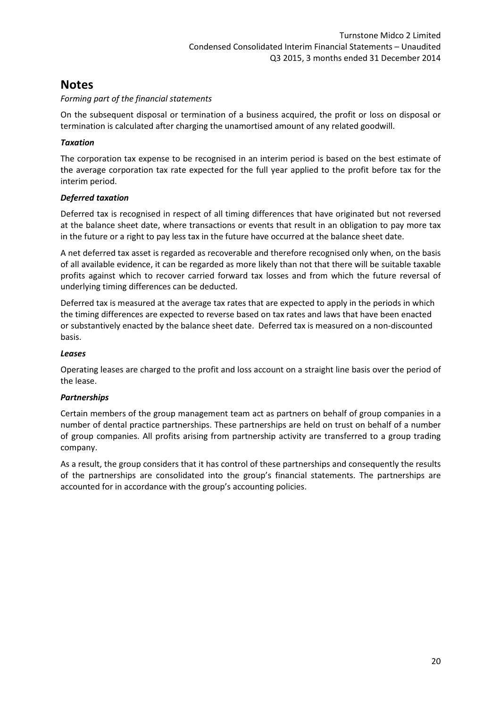## Forming part of the financial statements

On the subsequent disposal or termination of a business acquired, the profit or loss on disposal or termination is calculated after charging the unamortised amount of any related goodwill.

## **Taxation**

The corporation tax expense to be recognised in an interim period is based on the best estimate of the average corporation tax rate expected for the full year applied to the profit before tax for the interim period.

## Deferred taxation

Deferred tax is recognised in respect of all timing differences that have originated but not reversed at the balance sheet date, where transactions or events that result in an obligation to pay more tax in the future or a right to pay less tax in the future have occurred at the balance sheet date.

A net deferred tax asset is regarded as recoverable and therefore recognised only when, on the basis of all available evidence, it can be regarded as more likely than not that there will be suitable taxable profits against which to recover carried forward tax losses and from which the future reversal of underlying timing differences can be deducted.

Deferred tax is measured at the average tax rates that are expected to apply in the periods in which the timing differences are expected to reverse based on tax rates and laws that have been enacted or substantively enacted by the balance sheet date. Deferred tax is measured on a non-discounted basis.

## Leases

Operating leases are charged to the profit and loss account on a straight line basis over the period of the lease.

## Partnerships

Certain members of the group management team act as partners on behalf of group companies in a number of dental practice partnerships. These partnerships are held on trust on behalf of a number of group companies. All profits arising from partnership activity are transferred to a group trading company.

As a result, the group considers that it has control of these partnerships and consequently the results of the partnerships are consolidated into the group's financial statements. The partnerships are accounted for in accordance with the group's accounting policies.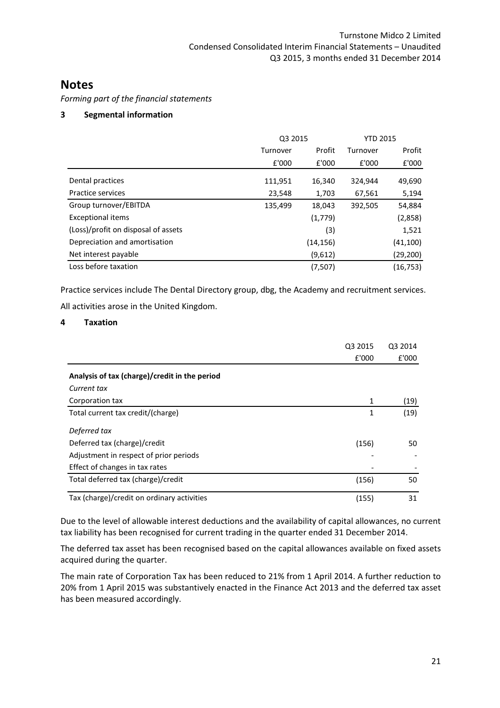Forming part of the financial statements

## 3 Segmental information

|                                     | Q3 2015  | <b>YTD 2015</b> |         |           |
|-------------------------------------|----------|-----------------|---------|-----------|
|                                     | Turnover | Profit          |         | Profit    |
|                                     | £'000    | £'000           | £'000   | £'000     |
| Dental practices                    | 111,951  | 16,340          | 324,944 | 49,690    |
| Practice services                   | 23,548   | 1,703           | 67,561  | 5,194     |
| Group turnover/EBITDA               | 135,499  | 18,043          | 392,505 | 54,884    |
| <b>Exceptional items</b>            |          | (1,779)         |         | (2,858)   |
| (Loss)/profit on disposal of assets |          | (3)             |         | 1,521     |
| Depreciation and amortisation       |          | (14, 156)       |         | (41, 100) |
| Net interest payable                |          | (9,612)         |         | (29,200)  |
| Loss before taxation                |          | (7,507)         |         | (16, 753) |

Practice services include The Dental Directory group, dbg, the Academy and recruitment services.

| All activities arose in the United Kingdom. |  |
|---------------------------------------------|--|
|---------------------------------------------|--|

## 4 Taxation

|                                               | Q3 2015 | Q3 2014 |
|-----------------------------------------------|---------|---------|
|                                               | £'000   | £'000   |
| Analysis of tax (charge)/credit in the period |         |         |
| Current tax                                   |         |         |
| Corporation tax                               | 1       | (19)    |
| Total current tax credit/(charge)             | 1       | (19)    |
| Deferred tax                                  |         |         |
| Deferred tax (charge)/credit                  | (156)   | 50      |
| Adjustment in respect of prior periods        |         |         |
| Effect of changes in tax rates                |         |         |
| Total deferred tax (charge)/credit            | (156)   | 50      |
| Tax (charge)/credit on ordinary activities    | (155)   | 31      |

Due to the level of allowable interest deductions and the availability of capital allowances, no current tax liability has been recognised for current trading in the quarter ended 31 December 2014.

The deferred tax asset has been recognised based on the capital allowances available on fixed assets acquired during the quarter.

The main rate of Corporation Tax has been reduced to 21% from 1 April 2014. A further reduction to 20% from 1 April 2015 was substantively enacted in the Finance Act 2013 and the deferred tax asset has been measured accordingly.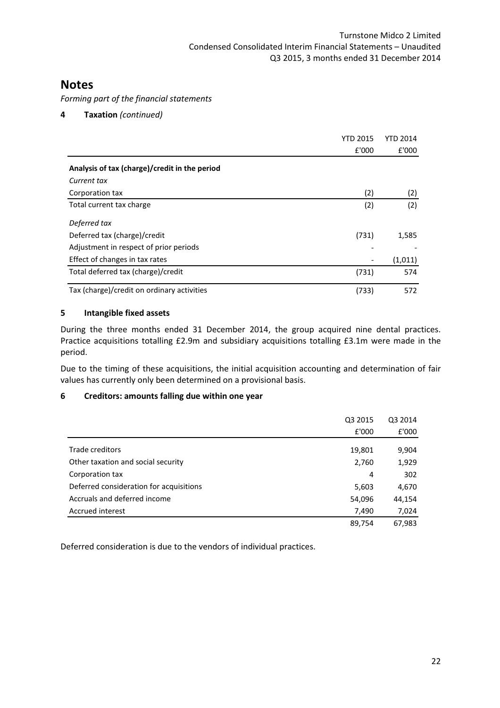Forming part of the financial statements

4 Taxation (continued)

|                                               | <b>YTD 2015</b> | YTD 2014 |
|-----------------------------------------------|-----------------|----------|
|                                               | £'000           | E'000    |
| Analysis of tax (charge)/credit in the period |                 |          |
| Current tax                                   |                 |          |
| Corporation tax                               | (2)             | (2)      |
| Total current tax charge                      | (2)             | (2)      |
| Deferred tax                                  |                 |          |
| Deferred tax (charge)/credit                  | (731)           | 1,585    |
| Adjustment in respect of prior periods        |                 |          |
| Effect of changes in tax rates                |                 | (1,011)  |
| Total deferred tax (charge)/credit            | (731)           | 574      |
| Tax (charge)/credit on ordinary activities    | (733)           | 572      |

## 5 Intangible fixed assets

During the three months ended 31 December 2014, the group acquired nine dental practices. Practice acquisitions totalling £2.9m and subsidiary acquisitions totalling £3.1m were made in the period.

Due to the timing of these acquisitions, the initial acquisition accounting and determination of fair values has currently only been determined on a provisional basis.

## 6 Creditors: amounts falling due within one year

|                                         | Q3 2015 | Q3 2014 |
|-----------------------------------------|---------|---------|
|                                         | £'000   | £'000   |
| Trade creditors                         |         |         |
|                                         | 19,801  | 9,904   |
| Other taxation and social security      | 2,760   | 1,929   |
| Corporation tax                         | 4       | 302     |
| Deferred consideration for acquisitions | 5,603   | 4,670   |
| Accruals and deferred income            | 54,096  | 44,154  |
| Accrued interest                        | 7,490   | 7,024   |
|                                         | 89,754  | 67,983  |

Deferred consideration is due to the vendors of individual practices.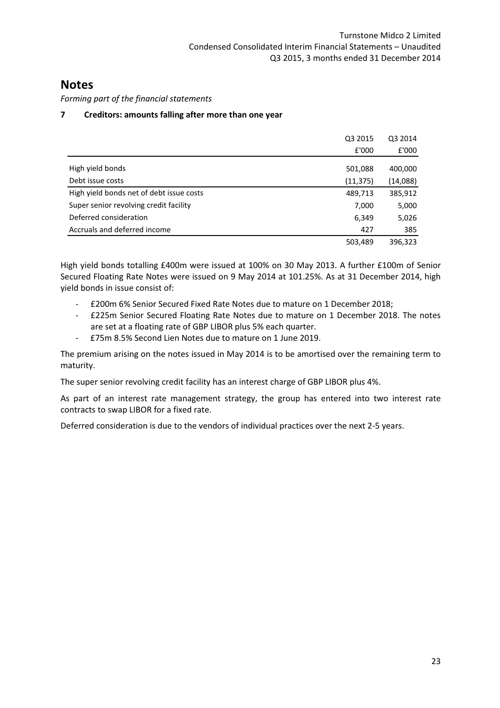Forming part of the financial statements

## 7 Creditors: amounts falling after more than one year

|                                          | Q3 2015   | Q3 2014  |
|------------------------------------------|-----------|----------|
|                                          | £'000     | £'000    |
| High yield bonds                         | 501,088   | 400,000  |
| Debt issue costs                         | (11, 375) | (14,088) |
| High yield bonds net of debt issue costs | 489,713   | 385,912  |
| Super senior revolving credit facility   | 7,000     | 5,000    |
| Deferred consideration                   | 6,349     | 5,026    |
| Accruals and deferred income             | 427       | 385      |
|                                          | 503,489   | 396,323  |

High yield bonds totalling £400m were issued at 100% on 30 May 2013. A further £100m of Senior Secured Floating Rate Notes were issued on 9 May 2014 at 101.25%. As at 31 December 2014, high yield bonds in issue consist of:

- £200m 6% Senior Secured Fixed Rate Notes due to mature on 1 December 2018;
- £225m Senior Secured Floating Rate Notes due to mature on 1 December 2018. The notes are set at a floating rate of GBP LIBOR plus 5% each quarter.
- £75m 8.5% Second Lien Notes due to mature on 1 June 2019.

The premium arising on the notes issued in May 2014 is to be amortised over the remaining term to maturity.

The super senior revolving credit facility has an interest charge of GBP LIBOR plus 4%.

As part of an interest rate management strategy, the group has entered into two interest rate contracts to swap LIBOR for a fixed rate.

Deferred consideration is due to the vendors of individual practices over the next 2-5 years.